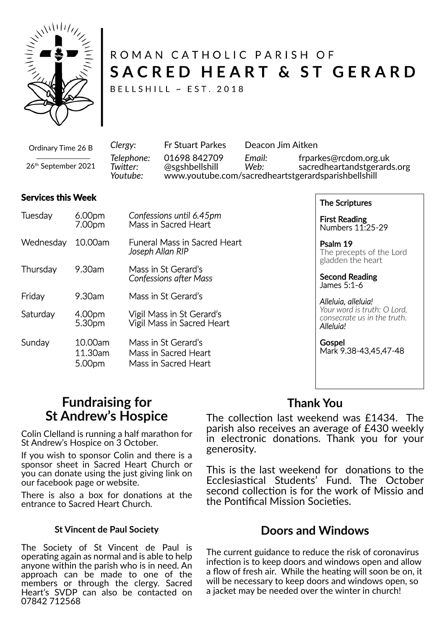

# ROMAN CATHOLIC PARISH OF SACRED HEART & ST GERARD

BELLSHILL ~ EST. 2018

| Ordinary Time 26 B  | Clergy:                            | <b>Fr Stuart Parkes</b>        | Deacon Jim Aitken |                                                                                                             |  |
|---------------------|------------------------------------|--------------------------------|-------------------|-------------------------------------------------------------------------------------------------------------|--|
| 26th September 2021 | Telephone:<br>Twitter:<br>Youtube: | 01698 842709<br>@sgshbellshill | Email:<br>Web:    | frparkes@rcdom.org.uk<br>sacredheartandstgerards.org<br>www.youtube.com/sacredheartstgerardsparishbellshill |  |

#### **Services this Week**

| Tuesday   | 6.00pm<br>7.00pm             | Confessions until 6.45pm<br>Mass in Sacred Heart                    |  |  |
|-----------|------------------------------|---------------------------------------------------------------------|--|--|
| Wednesday | 10.00am                      | <b>Funeral Mass in Sacred Heart</b><br>Joseph Allan RIP             |  |  |
| Thursday  | 9.30am                       | Mass in St Gerard's<br><b>Confessions after Mass</b>                |  |  |
| Friday    | 9.30am                       | Mass in St Gerard's                                                 |  |  |
| Saturday  | 4.00pm<br>5.30pm             | Vigil Mass in St Gerard's<br>Vigil Mass in Sacred Heart             |  |  |
| Sunday    | 10.00am<br>11.30am<br>5.00pm | Mass in St Gerard's<br>Mass in Sacred Heart<br>Mass in Sacred Heart |  |  |

The Scriptures

First Reading Numbers 11:25-29

Psalm 19 The precepts of the Lord gladden the heart

Second Reading James 5:1-6

*Alleluia, alleluia! Your word is truth: O Lord, consecrate us in the truth. Alleluia!*

Gospel Mark 9.38-43,45,47-48

### **Fundraising for St Andrew's Hospice**

Colin Clelland is running a half marathon for St Andrew's Hospice on 3 October.

If you wish to sponsor Colin and there is a sponsor sheet in Sacred Heart Church or you can donate using the just giving link on our facebook page or website.

There is also a box for donations at the entrance to Sacred Heart Church.

#### **St Vincent de Paul Society**

The Society of St Vincent de Paul is operating again as normal and is able to help anyone within the parish who is in need. An approach can be made to one of the members or through the clergy. Sacred Heart's SVDP can also be contacted on 07842 712568

### **Thank You**

The collection last weekend was £1434. The parish also receives an average of £430 weekly in electronic donations. Thank you for your generosity.

This is the last weekend for donations to the Ecclesiastical Students' Fund. The October second collection is for the work of Missio and the Pontifical Mission Societies.

### **Doors and Windows**

The current guidance to reduce the risk of coronavirus infection is to keep doors and windows open and allow a flow of fresh air. While the heating will soon be on, it will be necessary to keep doors and windows open, so a jacket may be needed over the winter in church!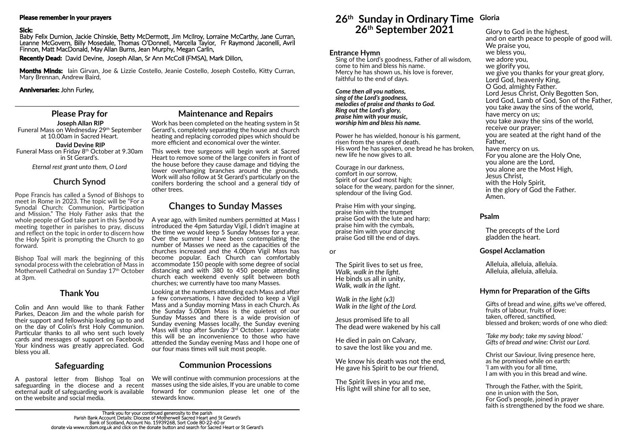### **Please Pray for**

**Joseph Allan RIP** Funeral Mass on Wednesday 29th September at 10.00am in Sacred Heart.

**David Devine RIP** Funeral Mass on Friday 8<sup>th</sup> October at 9.30am in St Gerard's.

*Eternal rest grant unto them, O Lord*

### **Church Synod**

Pope Francis has called a Synod of Bishops to meet in Rome in 2023. The topic will be "For a Synodal Church: Communion, Participation and Mission." The Holy Father asks that the whole people of God take part in this Synod by meeting together in parishes to pray, discuss and reflect on the topic in order to discern how the Holy Spirit is prompting the Church to go forward.

**Months Minds:** Iain Girvan, Joe & Lizzie Costello, Jeanie Costello, Joseph Costello, Kitty Curran, Mary Brennan, Andrew Baird,

Sing of the Lord's goodness, Father of all wisdom, come to him and bless his name. Mercy he has shown us, his love is forever, faithful to the end of days.

#### *Come then all you nations,*

Bishop Toal will mark the beginning of this synodal process with the celebration of Mass in Motherwell Cathedral on Sunday 17<sup>th</sup> October at 3pm.

#### **Please remember in your prayers**

#### **Sick:**

Baby Felix Durnion, Jackie Chinskie, Betty McDermott, Jim McIlroy, Lorraine McCarthy, Jane Curran, Leanne McGovern, Billy Mosedale, Thomas O'Donnell, Marcella Taylor, Fr Raymond Jaconelli, Avril Finnon, Matt MacDonald, May Allan Burns, Jean Murphy, Megan Carlin,

> Praise Him with your singing, praise him with the trumpet praise God with the lute and harp; praise him with the cymbals, praise him with your dancing praise God till the end of days.

**Recently Dead:** David Devine, Joseph Allan, Sr Ann McColl (FMSA), Mark Dillon,

We know his death was not the end. He gave his Spirit to be our friend,

#### **Anniversaries:** John Furley,

### **26th Sunday in Ordinary Time Gloria 26th September 2021**

### **Entrance Hymn**

*sing of the Lord's goodness, melodies of praise and thanks to God. Ring out the Lord's glory, praise him with your music, worship him and bless his name.*

> Gifts of bread and wine, gifts we've offered, fruits of labour, fruits of love: taken, offered, sanctified, blessed and broken; words of one who died:

Power he has wielded, honour is his garment, risen from the snares of death. His word he has spoken, one bread he has broken, new life he now gives to all.

Courage in our darkness, comfort in our sorrow, Spirit of our God most high; solace for the weary, pardon for the sinner, splendour of the living God.

A year ago, with limited numbers permitted at Mass I introduced the 4pm Saturday Vigil, I didn't imagine at the time we would keep 5 Sunday Masses for a year. Over the summer I have been contemplating the number of Masses we need as the capacities of the churches increased and the 4.00pm Vigil Mass has become popular. Each Church can comfortably accommodate 150 people with some degree of social distancing and with  $380$  to  $450$  people attending church each weekend evenly split between both churches; we currently have too many Masses.

Looking at the numbers attending each Mass and after a few conversations, I have decided to keep a Vigil Mass and a Sunday morning Mass in each Church. As the Sunday 5.00 $p$ m Mass is the quietest of our Sunday Masses and there is a wide provision of Sunday evening Masses locally, the Sunday evening Mass will stop after Sunday 3<sup>rd</sup> October. I appreciate this will be an inconvenience to those who have attended the Sunday evening Mass and I hope one of our four mass times will suit most people.

or

The Spirit lives to set us free, *Walk, walk in the light.* He binds us all in unity, *Walk, walk in the light.*

*Walk in the light (x3) Walk in the light of the Lord.*

Jesus promised life to all The dead were wakened by his call

He died in pain on Calvary, to save the lost like you and me.

The Spirit lives in you and me, His light will shine for all to see,

A pastoral letter from Bishop Toal on safeguarding in the diocese and a recent external audit of safeguarding work is available on the website and social media.

Work has been completed on the heating system in St Gerard's, completely separating the house and church heating and replacing corroded pipes which should be more efficient and economical over the winter.

Glory to God in the highest, and on earth peace to people of good will. We praise you. we bless you, we adore you, we glorify you, we give you thanks for your great glory, Lord God, heavenly King, O God, almighty Father. Lord Jesus Christ, Only Begotten Son, Lord God, Lamb of God, Son of the Father, you take away the sins of the world, have mercy on us; you take away the sins of the world, receive our prayer; you are seated at the right hand of the Father, have mercy on us. For you alone are the Holy One, you alone are the Lord, you alone are the Most High, Jesus Christ, with the Holy Spirit, in the glory of God the Father. Amen.

We will continue with communion processions at the masses using the side aisles, If you are unable to come forward for communion please let one of the stewards know.

### **Psalm**

The precepts of the Lord gladden the heart.

### **Gospel Acclamation**

Alleluia, alleluia, alleluia. Alleluia, alleluia, alleluia.

### **Hymn for Preparation of the Gifts**

*'Take my body; take my saving blood.' Gi�s of bread and wine: Christ our Lord.*

Christ our Saviour, living presence here, as he promised while on earth: 'I am with you for all time. I am with you in this bread and wine.

Through the Father, with the Spirit, one in union with the Son, For God's people, joined in prayer faith is strengthened by the food we share.

## **Changes to Sunday Masses**

### **Thank You**

Colin and Ann would like to thank Father Parkes, Deacon Jim and the whole parish for their support and fellowship leading up to and on the day of Colin's first Holy Communion. Particular thanks to all who sent such lovely cards and messages of support on Facebook. Your kindness was greatly appreciated. God bless you all.

### **Safeguarding**

### **Maintenance and Repairs**

This week tree surgeons will begin work at Sacred Heart to remove some of the large conifers in front of the house before they cause damage and tidying the lower overhanging branches around the grounds. Work will also follow at St Gerard's particularly on the conifers bordering the school and a general tidy of other trees.

### **Communion Processions**